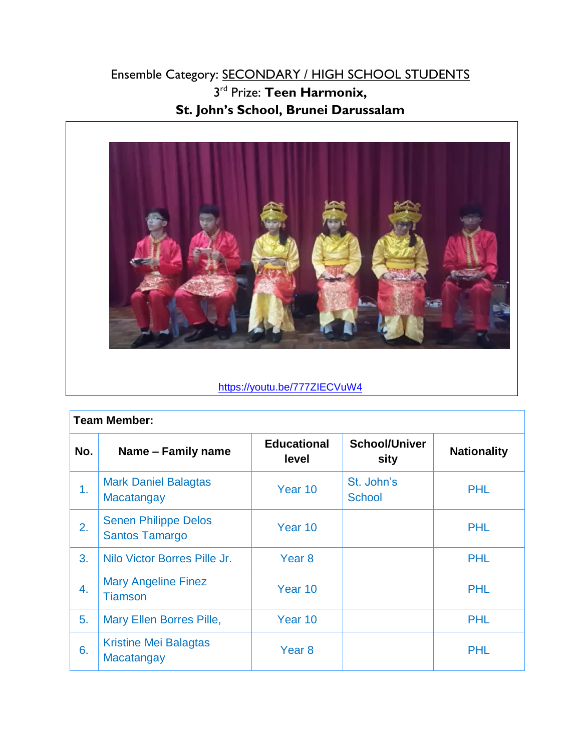## Ensemble Category: SECONDARY / HIGH SCHOOL STUDENTS 3 rd Prize: **Teen Harmonix, St. John's School, Brunei Darussalam**



## <https://youtu.be/777ZIECVuW4>

| <b>Team Member:</b> |                                                      |                             |                              |                    |  |
|---------------------|------------------------------------------------------|-----------------------------|------------------------------|--------------------|--|
| No.                 | Name - Family name                                   | <b>Educational</b><br>level | <b>School/Univer</b><br>sity | <b>Nationality</b> |  |
| 1.                  | <b>Mark Daniel Balagtas</b><br>Macatangay            | Year 10                     | St. John's<br><b>School</b>  | <b>PHL</b>         |  |
| 2.                  | <b>Senen Philippe Delos</b><br><b>Santos Tamargo</b> | Year 10                     |                              | <b>PHL</b>         |  |
| 3.                  | Nilo Victor Borres Pille Jr.                         | Year <sub>8</sub>           |                              | <b>PHL</b>         |  |
| $\overline{4}$ .    | <b>Mary Angeline Finez</b><br><b>Tiamson</b>         | Year 10                     |                              | <b>PHL</b>         |  |
| 5.                  | Mary Ellen Borres Pille,                             | Year 10                     |                              | <b>PHL</b>         |  |
| 6.                  | <b>Kristine Mei Balagtas</b><br>Macatangay           | Year <sub>8</sub>           |                              | <b>PHL</b>         |  |